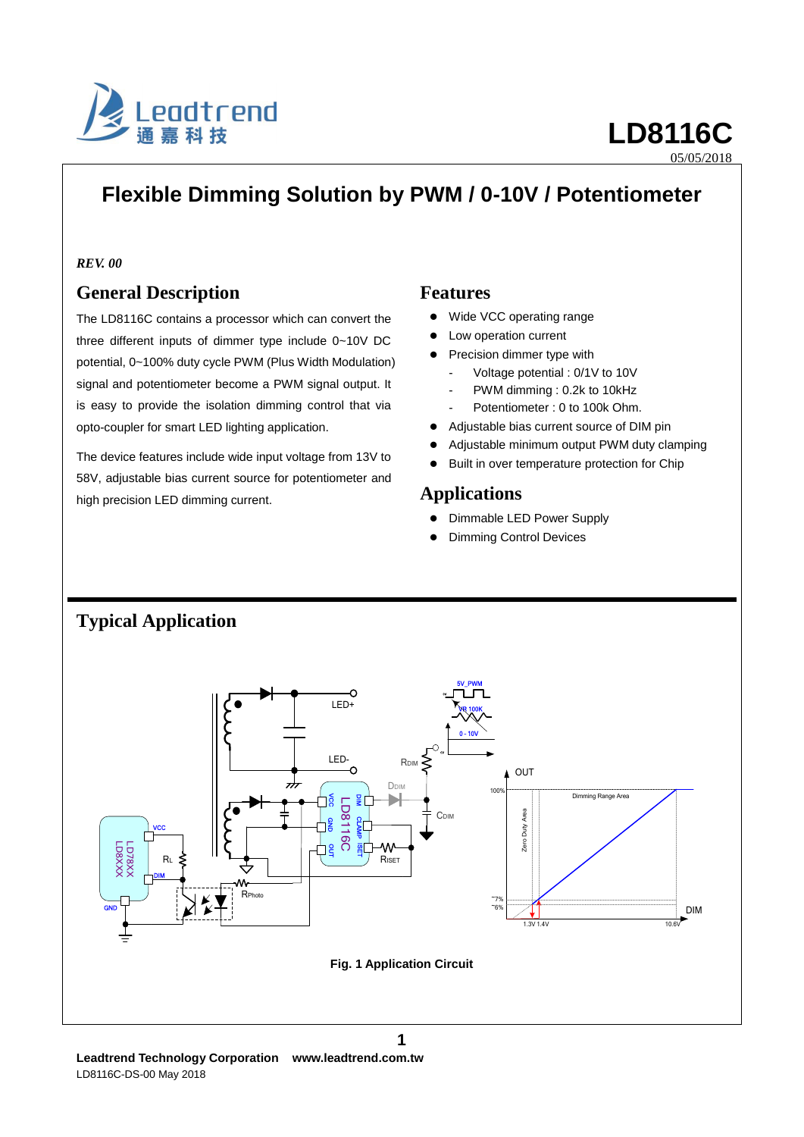

# **Flexible Dimming Solution by PWM / 0-10V / Potentiometer**

## *REV. 00*

## **General Description**

The LD8116C contains a processor which can convert the three different inputs of dimmer type include 0~10V DC potential, 0~100% duty cycle PWM (Plus Width Modulation) signal and potentiometer become a PWM signal output. It is easy to provide the isolation dimming control that via opto-coupler for smart LED lighting application.

The device features include wide input voltage from 13V to 58V, adjustable bias current source for potentiometer and high precision LED dimming current.

## **Features**

- Wide VCC operating range
- Low operation current
- Precision dimmer type with
	- Voltage potential : 0/1V to 10V
	- PWM dimming : 0.2k to 10kHz
	- Potentiometer : 0 to 100k Ohm.
- Adjustable bias current source of DIM pin
- Adjustable minimum output PWM duty clamping
- Built in over temperature protection for Chip

## **Applications**

- Dimmable LED Power Supply
- **•** Dimming Control Devices



## **Typical Application**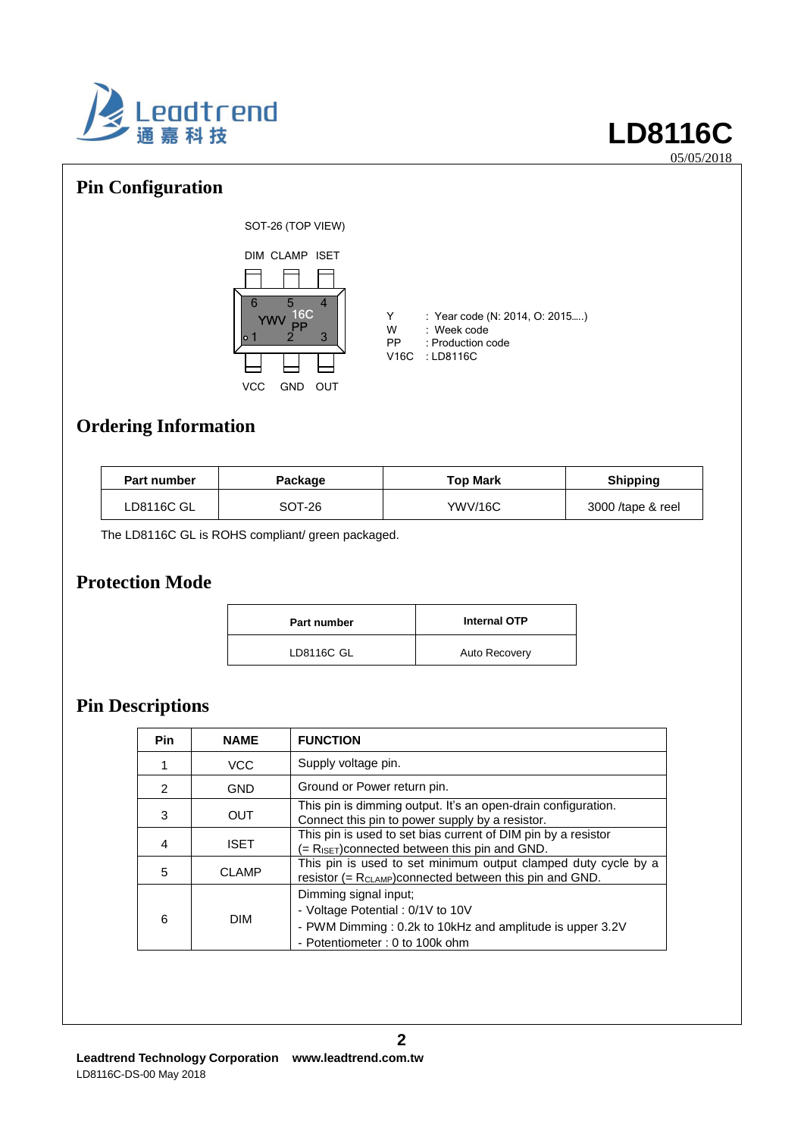

## **Pin Configuration**



- Y : Year code (N: 2014, O: 2015.....)<br>W : Week code W : Week code<br>PP : Production c
- PP : Production code<br>V16C : LD8116C

**Ordering Information**

| <b>Part number</b> | Package | <b>Top Mark</b> | <b>Shipping</b>   |
|--------------------|---------|-----------------|-------------------|
| LD8116C GL         | SOT-26  | <b>YWV/16C</b>  | 3000 /tape & reel |

The LD8116C GL is ROHS compliant/ green packaged.

## **Protection Mode**

| <b>Part number</b> | <b>Internal OTP</b>  |
|--------------------|----------------------|
| LD8116C GL         | <b>Auto Recovery</b> |

# **Pin Descriptions**

| <b>Pin</b> | <b>NAME</b>                                                                                                                                     | <b>FUNCTION</b>                                                                                                                                           |  |  |
|------------|-------------------------------------------------------------------------------------------------------------------------------------------------|-----------------------------------------------------------------------------------------------------------------------------------------------------------|--|--|
|            | VCC                                                                                                                                             | Supply voltage pin.                                                                                                                                       |  |  |
| 2          | <b>GND</b>                                                                                                                                      | Ground or Power return pin.                                                                                                                               |  |  |
| 3          | This pin is dimming output. It's an open-drain configuration.<br>OUT<br>Connect this pin to power supply by a resistor.                         |                                                                                                                                                           |  |  |
| 4          | <b>ISET</b>                                                                                                                                     | This pin is used to set bias current of DIM pin by a resistor<br>$(=$ R <sub>ISET</sub> ) connected between this pin and GND.                             |  |  |
| 5          | This pin is used to set minimum output clamped duty cycle by a<br><b>CLAMP</b><br>resistor (= $R_{CLAMP}$ ) connected between this pin and GND. |                                                                                                                                                           |  |  |
| 6          | <b>DIM</b>                                                                                                                                      | Dimming signal input;<br>- Voltage Potential : 0/1V to 10V<br>- PWM Dimming : 0.2k to 10kHz and amplitude is upper 3.2V<br>- Potentiometer: 0 to 100k ohm |  |  |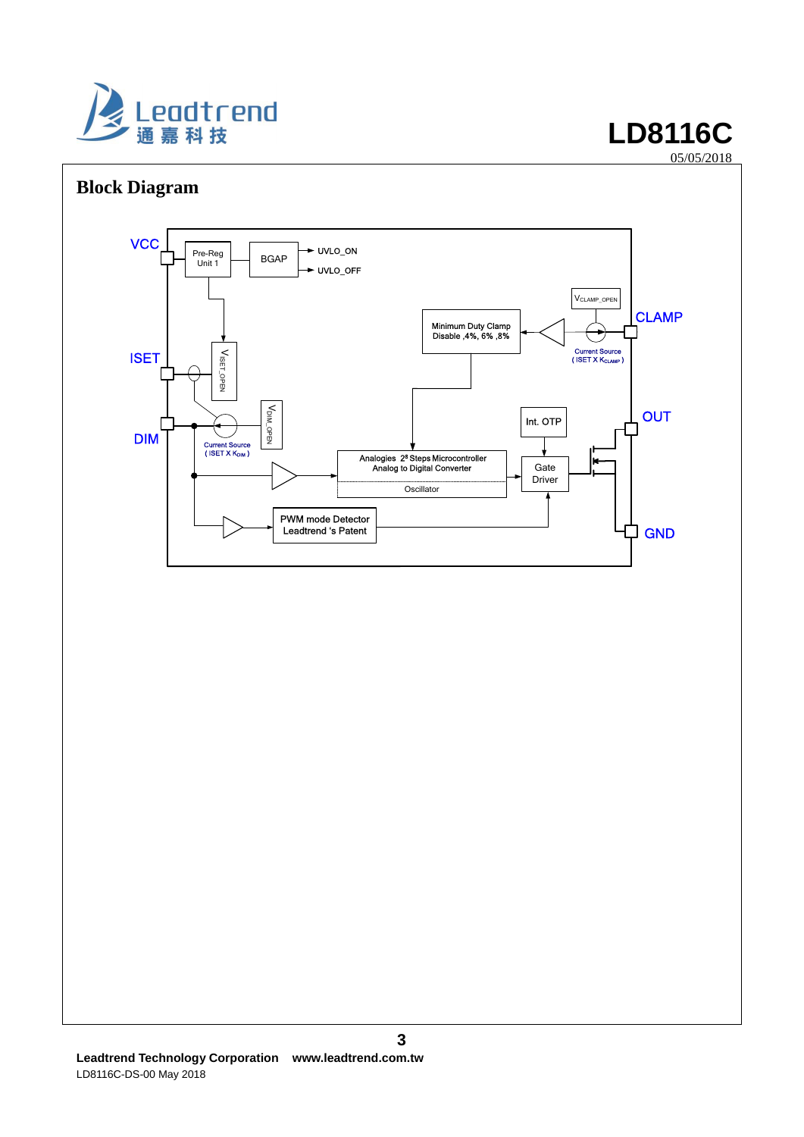

# **Block Diagram**



**3**

05/05/2018 05/05/2018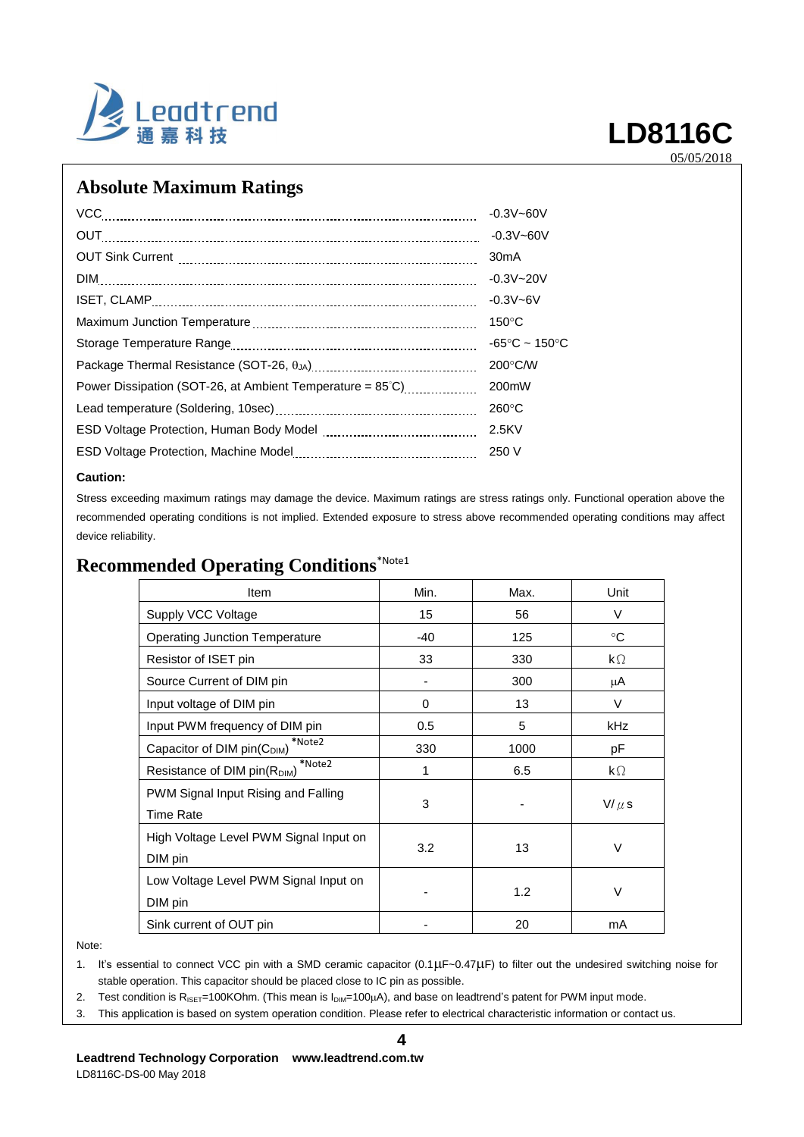

## **Absolute Maximum Ratings**

| VCC                                                                 | $-0.3V - 60V$                      |
|---------------------------------------------------------------------|------------------------------------|
| OUT                                                                 | $-0.3V - 60V$                      |
|                                                                     | 30 <sub>m</sub> A                  |
|                                                                     | $-0.3V - 20V$                      |
|                                                                     | $-0.3V - 6V$                       |
|                                                                     | $150^{\circ}$ C                    |
|                                                                     | $-65^{\circ}$ C ~ 150 $^{\circ}$ C |
|                                                                     | $200^{\circ}$ C/W                  |
| Power Dissipation (SOT-26, at Ambient Temperature = $85^{\circ}$ C) | 200mW                              |
|                                                                     | $260^{\circ}$ C                    |
|                                                                     | 2.5KV                              |
|                                                                     | 250 V                              |

### **Caution:**

Stress exceeding maximum ratings may damage the device. Maximum ratings are stress ratings only. Functional operation above the recommended operating conditions is not implied. Extended exposure to stress above recommended operating conditions may affect device reliability.

# **Recommended Operating Conditions**\*Note1

| Item                                               | Min.  | Max. | Unit               |  |
|----------------------------------------------------|-------|------|--------------------|--|
| Supply VCC Voltage                                 | 15    | 56   | V                  |  |
| <b>Operating Junction Temperature</b>              | $-40$ | 125  | $^{\circ}C$        |  |
| Resistor of ISET pin                               | 33    | 330  | $\mathsf{k}\Omega$ |  |
| Source Current of DIM pin                          |       | 300  | μA                 |  |
| Input voltage of DIM pin                           | 0     | 13   | V                  |  |
| Input PWM frequency of DIM pin                     | 0.5   | 5    | kHz                |  |
| *Note2<br>Capacitor of DIM pin(C <sub>DIM</sub> )  | 330   | 1000 | pF                 |  |
| *Note2<br>Resistance of DIM pin(R <sub>DIM</sub> ) | 1     | 6.5  | $\mathsf{k}\Omega$ |  |
| PWM Signal Input Rising and Falling                |       |      |                    |  |
| <b>Time Rate</b>                                   | 3     |      | $V/\mu$ s          |  |
| High Voltage Level PWM Signal Input on             |       |      |                    |  |
| DIM pin                                            | 3.2   | 13   | V                  |  |
| Low Voltage Level PWM Signal Input on              |       |      |                    |  |
| DIM pin                                            |       | 1.2  | V                  |  |
| Sink current of OUT pin                            |       | 20   | mA                 |  |

Note:

1. It's essential to connect VCC pin with a SMD ceramic capacitor (0.1 µF~0.47µF) to filter out the undesired switching noise for stable operation. This capacitor should be placed close to IC pin as possible.

2. Test condition is  $R_{ISET}=100KOhm$ . (This mean is  $I_{DIM}=100\mu A$ ), and base on leadtrend's patent for PWM input mode.

3. This application is based on system operation condition. Please refer to electrical characteristic information or contact us.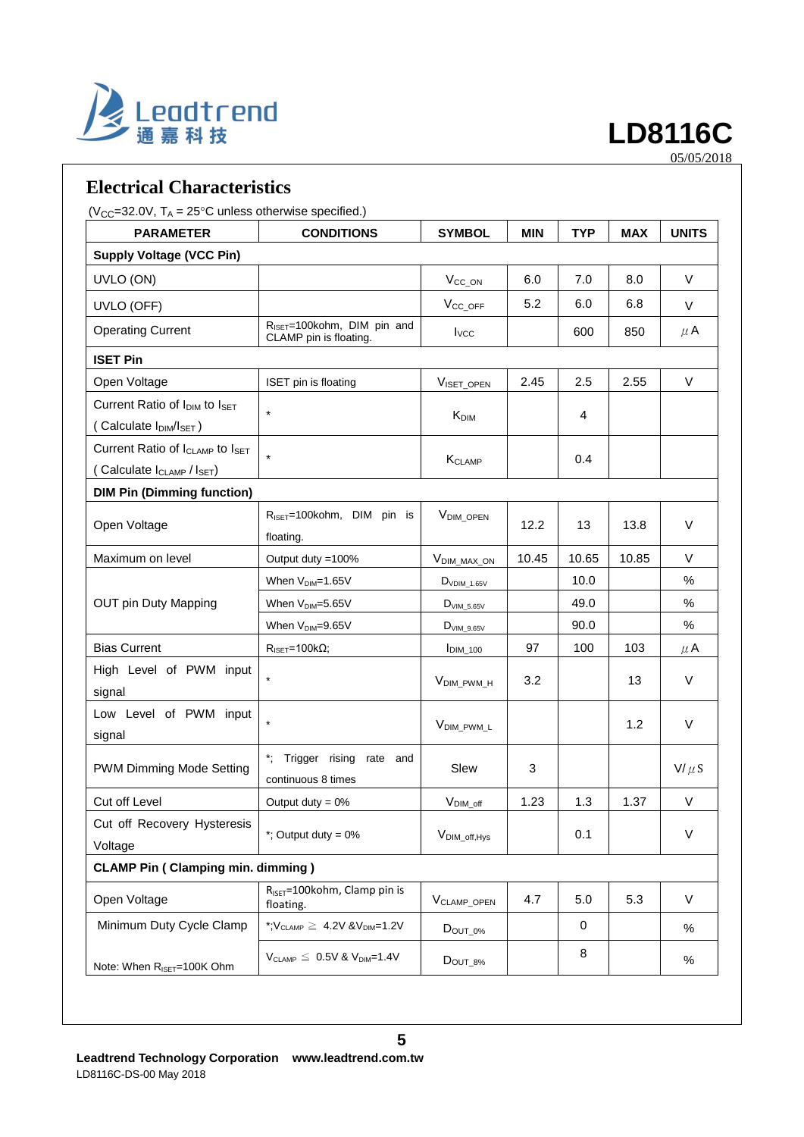

## **Electrical Characteristics**

( $V_{CC}$ =32.0V, T<sub>A</sub> = 25°C unless otherwise specified.)

| <b>PARAMETER</b>                                        | <b>CONDITIONS</b>                                                 | <b>SYMBOL</b>             | <b>MIN</b> | <b>TYP</b> | <b>MAX</b> | <b>UNITS</b> |
|---------------------------------------------------------|-------------------------------------------------------------------|---------------------------|------------|------------|------------|--------------|
| <b>Supply Voltage (VCC Pin)</b>                         |                                                                   |                           |            |            |            |              |
| UVLO (ON)                                               |                                                                   | $V_{CC_ON}$               | 6.0        | 7.0        | 8.0        | $\vee$       |
| UVLO (OFF)                                              |                                                                   | V <sub>CC_OFF</sub>       | 5.2        | 6.0        | 6.8        | V            |
| <b>Operating Current</b>                                | R <sub>ISET</sub> =100kohm, DIM pin and<br>CLAMP pin is floating. | $I_{VCC}$                 |            | 600        | 850        | $\mu$ A      |
| <b>ISET Pin</b>                                         |                                                                   |                           |            |            |            |              |
| Open Voltage                                            | ISET pin is floating                                              | VISET_OPEN                | 2.45       | 2.5        | 2.55       | V            |
| Current Ratio of I <sub>DIM</sub> to I <sub>SET</sub>   | $\star$                                                           |                           |            |            |            |              |
| (Calculate I <sub>DIM</sub> /I <sub>SET</sub> )         |                                                                   | $K_{\text{DIM}}$          |            | 4          |            |              |
| Current Ratio of I <sub>CLAMP</sub> to I <sub>SET</sub> |                                                                   |                           |            | 0.4        |            |              |
| (Calculate I <sub>CLAMP</sub> / I <sub>SET</sub> )      |                                                                   | KCLAMP                    |            |            |            |              |
| <b>DIM Pin (Dimming function)</b>                       |                                                                   |                           |            |            |            |              |
| Open Voltage                                            | R <sub>ISET</sub> =100kohm, DIM pin is                            | V <sub>DIM_OPEN</sub>     | 12.2       | 13         | 13.8       | V            |
|                                                         | floating.                                                         |                           |            |            |            |              |
| Maximum on level                                        | Output duty = 100%                                                | VDIM_MAX_ON               | 10.45      | 10.65      | 10.85      | $\vee$       |
|                                                         | When V <sub>DIM</sub> =1.65V                                      | $D_{VDIM\_1.65V}$         |            | 10.0       |            | %            |
| OUT pin Duty Mapping                                    | When V <sub>DIM</sub> =5.65V                                      | $DVIM_5.65V$              |            | 49.0       |            | $\%$         |
|                                                         | When V <sub>DIM</sub> =9.65V                                      | $D_{VIM_9.65V}$           |            | 90.0       |            | %            |
| <b>Bias Current</b>                                     | $R_{\text{ISET}} = 100 \text{k}\Omega;$                           | $IDIM_100$                | 97         | 100        | 103        | $\mu$ A      |
| High Level of PWM input                                 |                                                                   |                           |            |            |            | $\vee$       |
| signal                                                  |                                                                   | V <sub>DIM_PWM_H</sub>    | 3.2        |            | 13         |              |
| Low Level of PWM input                                  | $\star$                                                           |                           |            |            |            | $\vee$       |
| signal                                                  |                                                                   | V <sub>DIM_PWM_L</sub>    |            |            | 1.2        |              |
|                                                         | $\ddot{\phantom{a}}$<br>Trigger rising rate and                   |                           |            |            |            |              |
| PWM Dimming Mode Setting                                | continuous 8 times                                                | Slew                      | 3          |            |            | $V/\mu S$    |
| Cut off Level                                           | Output duty = $0\%$                                               | $V_{\text{DIM\_off}}$     | 1.23       | 1.3        | 1.37       | $\vee$       |
| Cut off Recovery Hysteresis                             |                                                                   |                           |            |            |            |              |
| Voltage                                                 | *; Output duty = $0\%$                                            | V <sub>DIM_off, Hys</sub> |            | 0.1        |            | $\vee$       |
| <b>CLAMP Pin (Clamping min. dimming)</b>                |                                                                   |                           |            |            |            |              |
| Open Voltage                                            | R <sub>ISET</sub> =100kohm, Clamp pin is<br>floating.             | V <sub>CLAMP_OPEN</sub>   | 4.7        | 5.0        | 5.3        | V            |
| Minimum Duty Cycle Clamp                                | *; $V_{CLAMP} \geq 4.2V 8V_{DIM}=1.2V$                            | $D_{OUT_0\%}$             |            | 0          |            | %            |
| Note: When R <sub>ISET</sub> =100K Ohm                  | $V_{CLAMP} \leq 0.5V$ & $V_{DIM}$ =1.4V                           | $D_{OUT_8\%}$             |            | 8          |            | %            |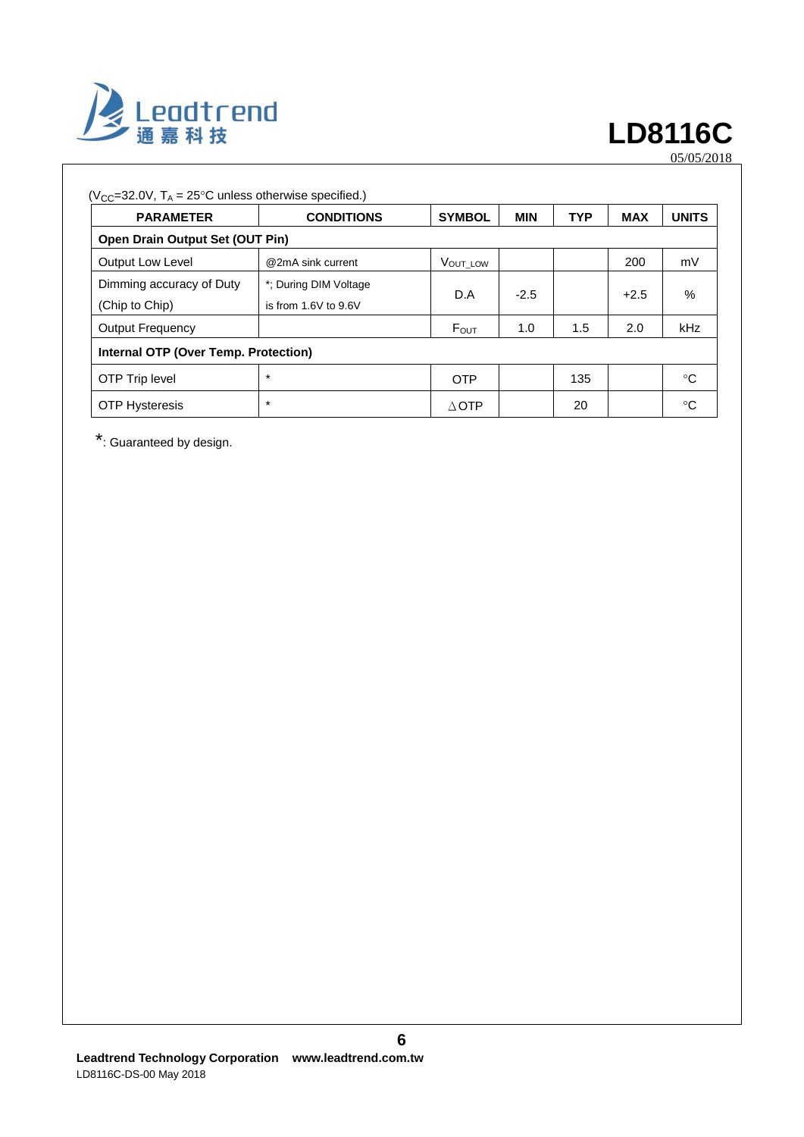

| $(V_{CC} = 32.0V, T_A = 25^{\circ}C$ unless otherwise specified.) |                                               |                  |            |            |            |              |
|-------------------------------------------------------------------|-----------------------------------------------|------------------|------------|------------|------------|--------------|
| <b>PARAMETER</b>                                                  | <b>CONDITIONS</b>                             | <b>SYMBOL</b>    | <b>MIN</b> | <b>TYP</b> | <b>MAX</b> | <b>UNITS</b> |
| <b>Open Drain Output Set (OUT Pin)</b>                            |                                               |                  |            |            |            |              |
| <b>Output Low Level</b>                                           | @2mA sink current                             | VOUT LOW         |            |            | 200        | mV           |
| Dimming accuracy of Duty<br>(Chip to Chip)                        | *: During DIM Voltage<br>is from 1.6V to 9.6V | D.A              | $-2.5$     |            | $+2.5$     | $\%$         |
| <b>Output Frequency</b>                                           |                                               | $F_{\text{OUT}}$ | 1.0        | 1.5        | 2.0        | kHz          |
| Internal OTP (Over Temp. Protection)                              |                                               |                  |            |            |            |              |
| OTP Trip level                                                    | $\star$                                       | <b>OTP</b>       |            | 135        |            | °C           |
| <b>OTP Hysteresis</b>                                             | $\ast$                                        | $\triangle$ OTP  |            | 20         |            | °C           |

\*: Guaranteed by design.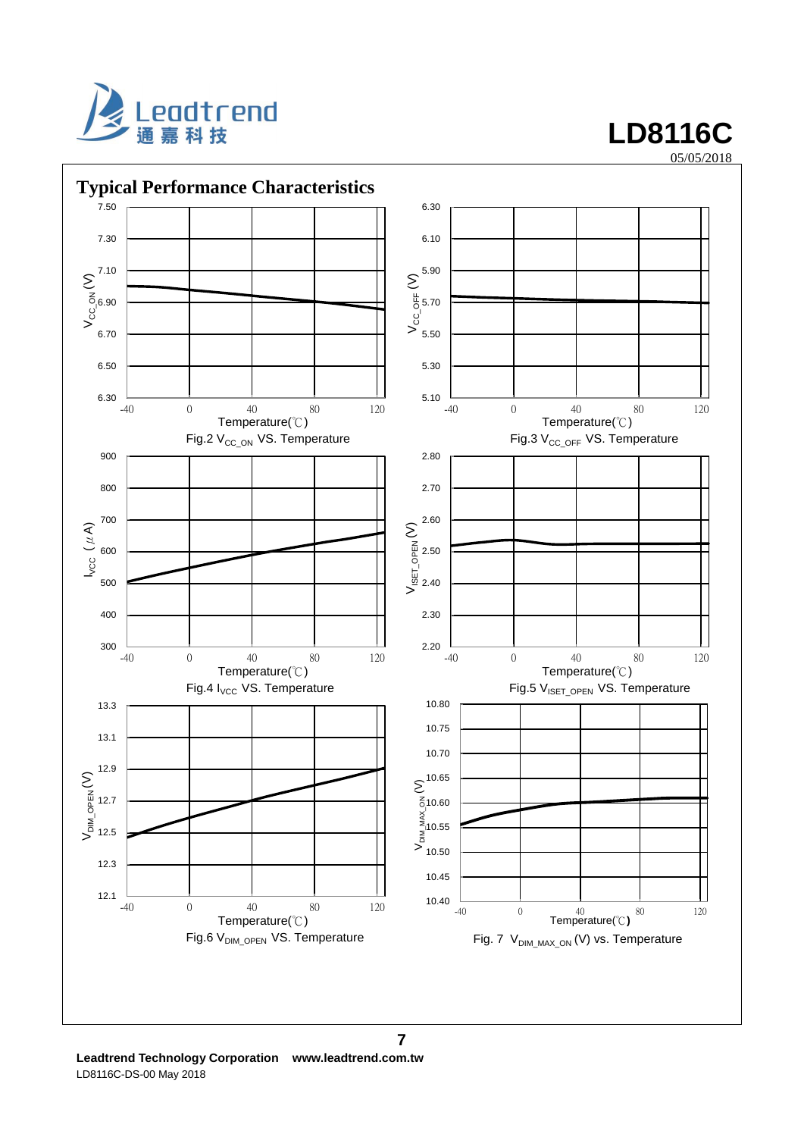

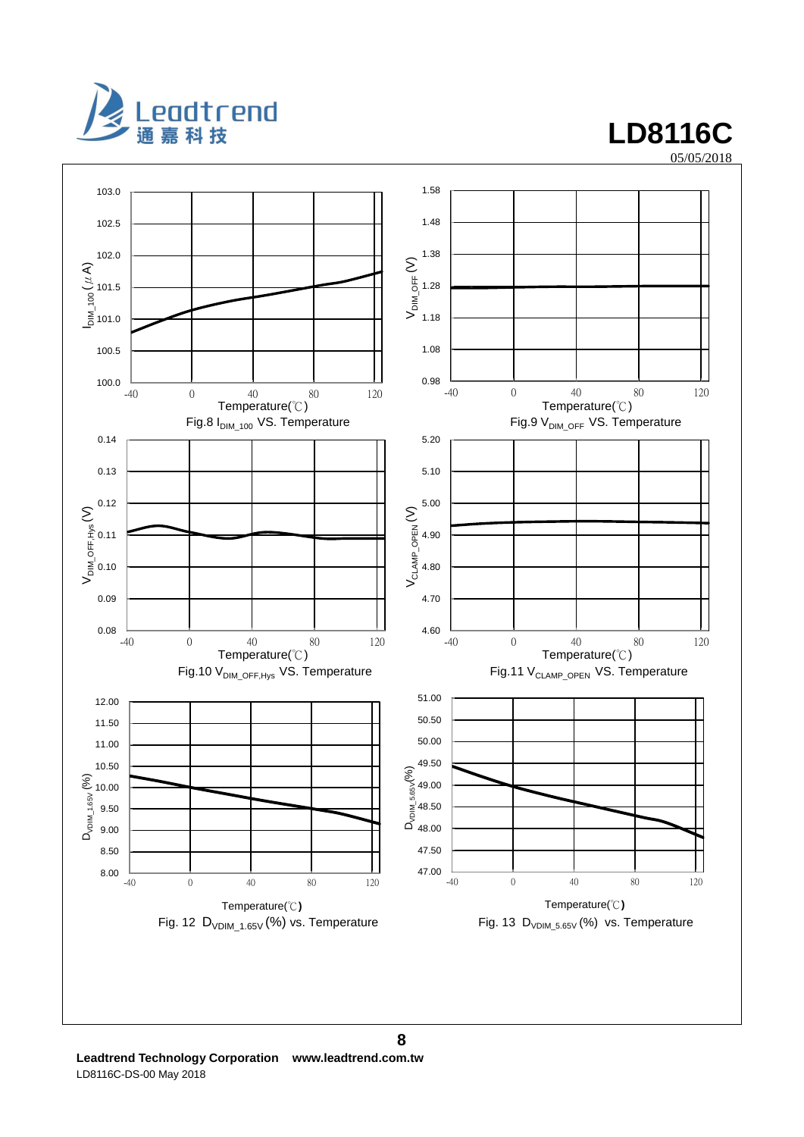

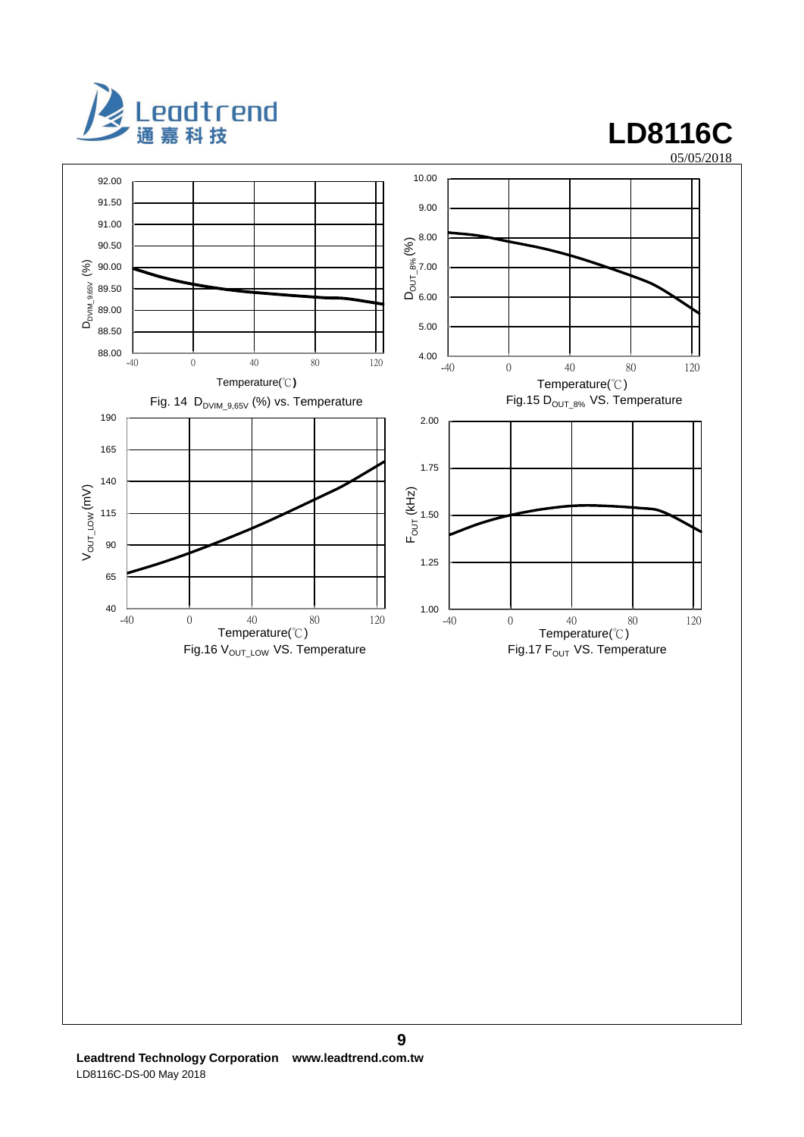

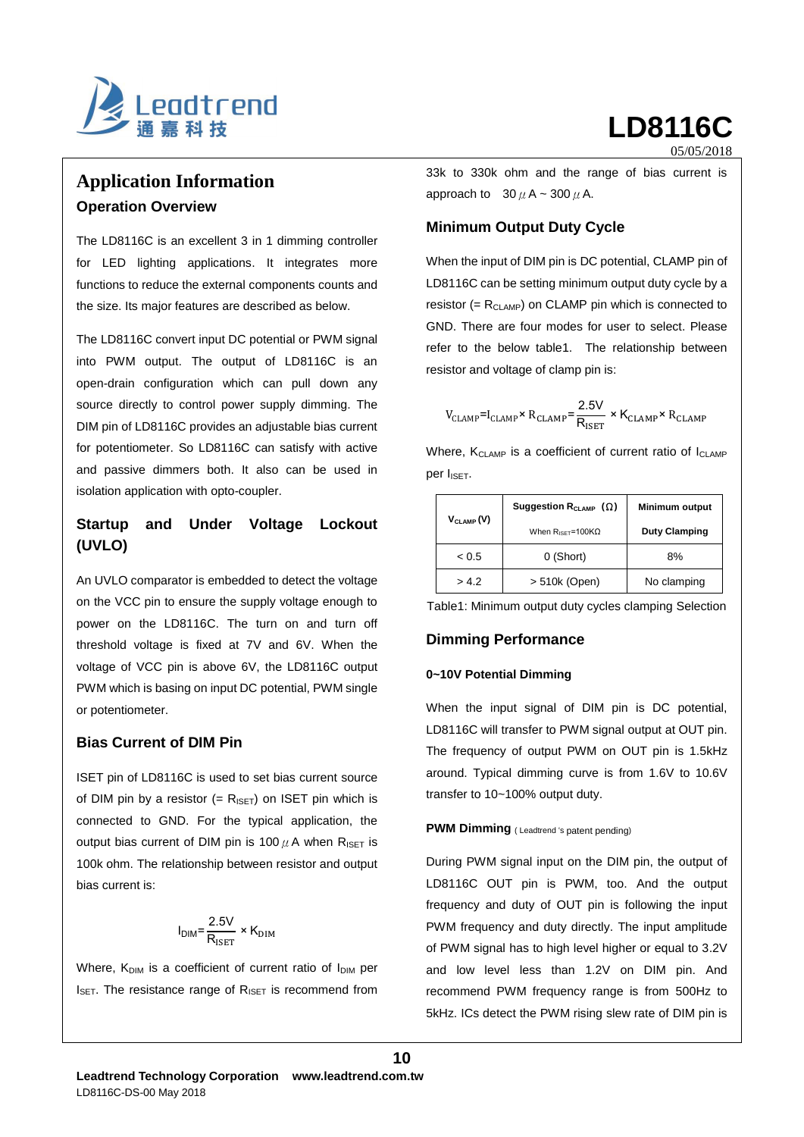

# **Application Information Operation Overview**

The LD8116C is an excellent 3 in 1 dimming controller for LED lighting applications. It integrates more functions to reduce the external components counts and the size. Its major features are described as below.

The LD8116C convert input DC potential or PWM signal into PWM output. The output of LD8116C is an open-drain configuration which can pull down any source directly to control power supply dimming. The DIM pin of LD8116C provides an adjustable bias current for potentiometer. So LD8116C can satisfy with active and passive dimmers both. It also can be used in isolation application with opto-coupler.

## **Startup and Under Voltage Lockout (UVLO)**

An UVLO comparator is embedded to detect the voltage on the VCC pin to ensure the supply voltage enough to power on the LD8116C. The turn on and turn off threshold voltage is fixed at 7V and 6V. When the voltage of VCC pin is above 6V, the LD8116C output PWM which is basing on input DC potential, PWM single or potentiometer.

## **Bias Current of DIM Pin**

ISET pin of LD8116C is used to set bias current source of DIM pin by a resistor  $(= R_{\text{ISET}})$  on ISET pin which is connected to GND. For the typical application, the output bias current of DIM pin is 100  $\mu$  A when R<sub>ISET</sub> is 100k ohm. The relationship between resistor and output bias current is:

$$
I_{\text{DIM}} = \frac{2.5V}{R_{\text{ISET}}} \times K_{\text{DIM}}
$$

Where,  $K_{\text{DIM}}$  is a coefficient of current ratio of  $I_{\text{DIM}}$  per  $I_{\text{SET}}$ . The resistance range of  $R_{\text{ISET}}$  is recommend from 33k to 330k ohm and the range of bias current is approach to  $30 \mu$  A ~ 300  $\mu$  A.

### **Minimum Output Duty Cycle**

05/05/2018

When the input of DIM pin is DC potential, CLAMP pin of LD8116C can be setting minimum output duty cycle by a resistor (=  $R_{CLAMP}$ ) on CLAMP pin which is connected to GND. There are four modes for user to select. Please refer to the below table1. The relationship between resistor and voltage of clamp pin is:

$$
V_{\text{CLAMP}} = I_{\text{CLAMP}} \times R_{\text{CLAMP}} = \frac{2.5 \text{V}}{R_{\text{ISET}}} \times K_{\text{CLAMP}} \times R_{\text{CLAMP}}
$$

Where,  $K<sub>CLAMP</sub>$  is a coefficient of current ratio of  $I<sub>CLAMP</sub>$ per I<sub>ISET</sub>.

|                | Suggestion R <sub>CLAMP</sub> ( $\Omega$ )  | <b>Minimum output</b> |
|----------------|---------------------------------------------|-----------------------|
| $V_{CLAMP}(V)$ | When $R_{\text{ISFT}} = 100 \text{K}\Omega$ | <b>Duty Clamping</b>  |
| < 0.5          | 0 (Short)                                   | 8%                    |
| > 4.2          | > 510k (Open)                               | No clamping           |

Table1: Minimum output duty cycles clamping Selection

### **Dimming Performance**

### **0~10V Potential Dimming**

When the input signal of DIM pin is DC potential, LD8116C will transfer to PWM signal output at OUT pin. The frequency of output PWM on OUT pin is 1.5kHz around. Typical dimming curve is from 1.6V to 10.6V transfer to 10~100% output duty.

### **PWM Dimming** (Leadtrend 's patent pending)

During PWM signal input on the DIM pin, the output of LD8116C OUT pin is PWM, too. And the output frequency and duty of OUT pin is following the input PWM frequency and duty directly. The input amplitude of PWM signal has to high level higher or equal to 3.2V and low level less than 1.2V on DIM pin. And recommend PWM frequency range is from 500Hz to 5kHz. ICs detect the PWM rising slew rate of DIM pin is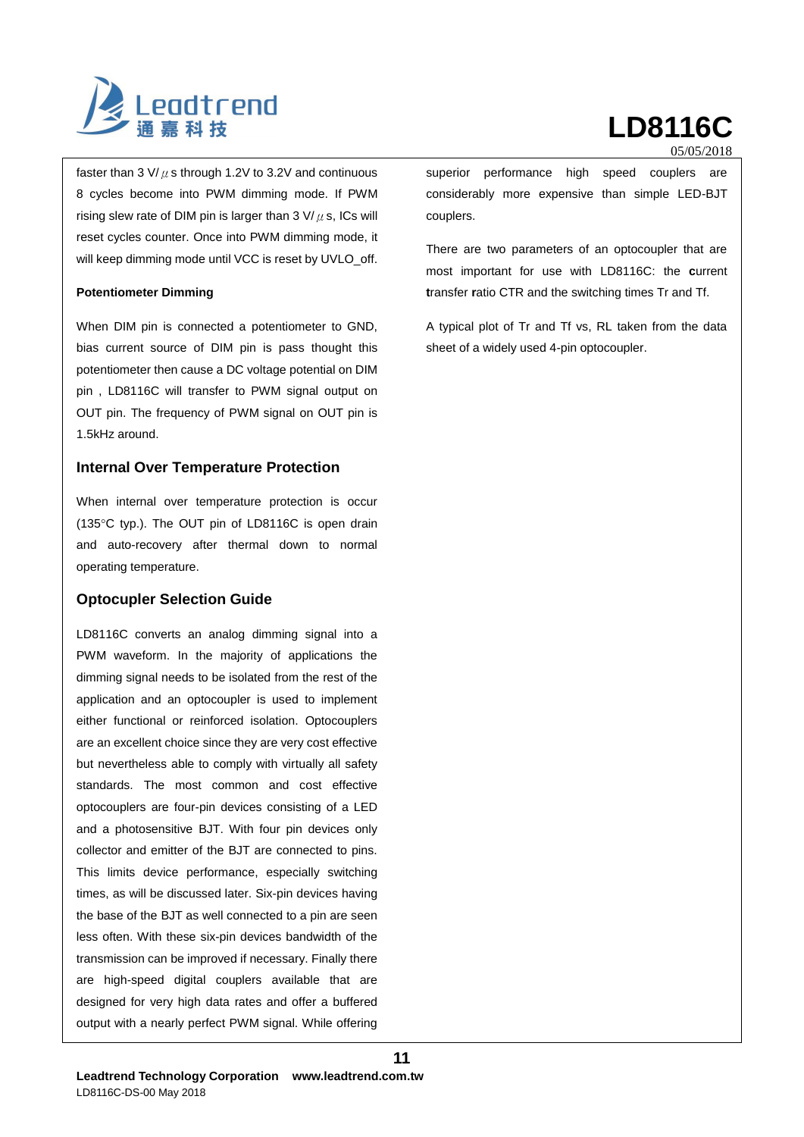

faster than 3 V/ $\mu$  s through 1.2V to 3.2V and continuous 8 cycles become into PWM dimming mode. If PWM rising slew rate of DIM pin is larger than 3 V/ $\mu$  s, ICs will reset cycles counter. Once into PWM dimming mode, it will keep dimming mode until VCC is reset by UVLO\_off.

### **Potentiometer Dimming**

When DIM pin is connected a potentiometer to GND, bias current source of DIM pin is pass thought this potentiometer then cause a DC voltage potential on DIM pin , LD8116C will transfer to PWM signal output on OUT pin. The frequency of PWM signal on OUT pin is 1.5kHz around.

### **Internal Over Temperature Protection**

When internal over temperature protection is occur (135 $\degree$ C typ.). The OUT pin of LD8116C is open drain and auto-recovery after thermal down to normal operating temperature.

### **Optocupler Selection Guide**

LD8116C converts an analog dimming signal into a PWM waveform. In the majority of applications the dimming signal needs to be isolated from the rest of the application and an optocoupler is used to implement either functional or reinforced isolation. Optocouplers are an excellent choice since they are very cost effective but nevertheless able to comply with virtually all safety standards. The most common and cost effective optocouplers are four-pin devices consisting of a LED and a photosensitive BJT. With four pin devices only collector and emitter of the BJT are connected to pins. This limits device performance, especially switching times, as will be discussed later. Six-pin devices having the base of the BJT as well connected to a pin are seen less often. With these six-pin devices bandwidth of the transmission can be improved if necessary. Finally there are high-speed digital couplers available that are designed for very high data rates and offer a buffered output with a nearly perfect PWM signal. While offering

05/05/2018

superior performance high speed couplers are considerably more expensive than simple LED-BJT couplers.

There are two parameters of an optocoupler that are most important for use with LD8116C: the **c**urrent **t**ransfer **r**atio CTR and the switching times Tr and Tf.

A typical plot of Tr and Tf vs, RL taken from the data sheet of a widely used 4-pin optocoupler.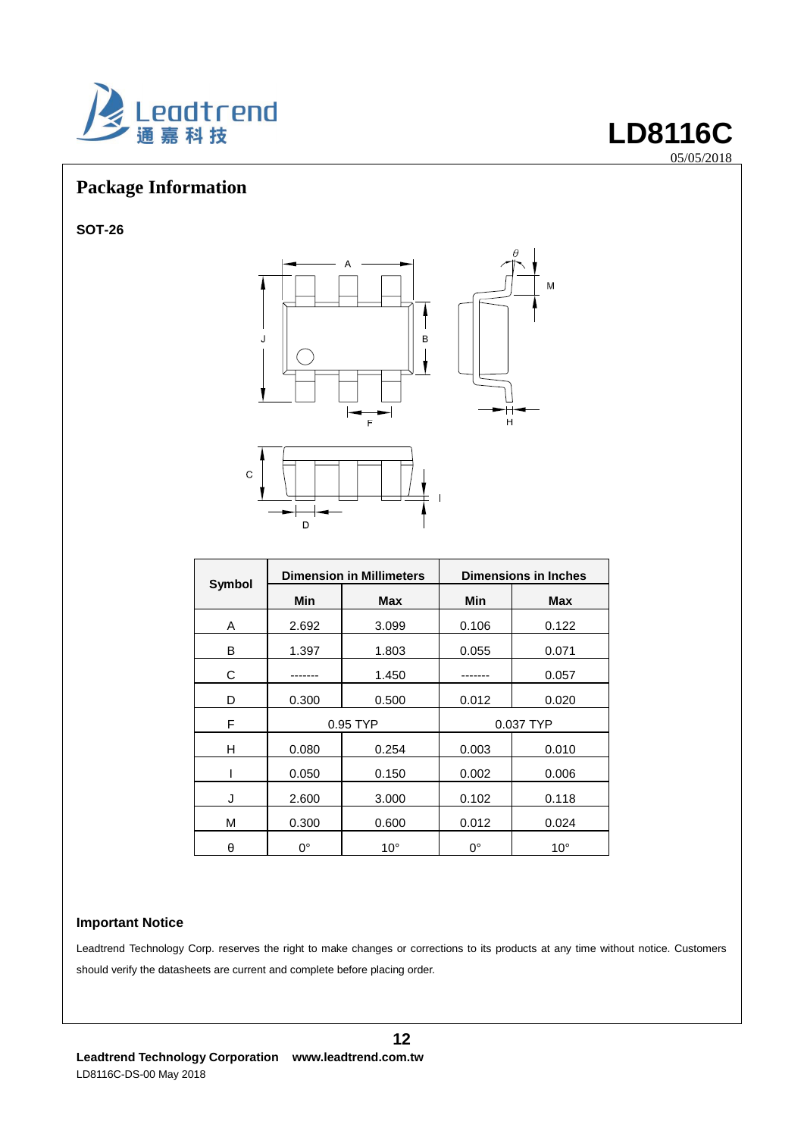

# **Package Information**

**SOT-26**



05/05/2018 05/05/2018

|        | <b>Dimension in Millimeters</b> |              | <b>Dimensions in Inches</b> |              |  |
|--------|---------------------------------|--------------|-----------------------------|--------------|--|
| Symbol | Min                             | <b>Max</b>   | Min                         | <b>Max</b>   |  |
| Α      | 2.692                           | 3.099        | 0.106                       | 0.122        |  |
| в      | 1.397                           | 1.803        | 0.055                       | 0.071        |  |
| С      |                                 | 1.450        |                             | 0.057        |  |
| D      | 0.300                           | 0.500        | 0.012                       | 0.020        |  |
| F      | 0.95 TYP                        |              | 0.037 TYP                   |              |  |
| н      | 0.080                           | 0.254        | 0.003                       | 0.010        |  |
|        | 0.050                           | 0.150        | 0.002                       | 0.006        |  |
| J      | 2.600                           | 3.000        | 0.102                       | 0.118        |  |
| M      | 0.300                           | 0.600        | 0.012                       | 0.024        |  |
| θ      | 0°                              | $10^{\circ}$ | $0^{\circ}$                 | $10^{\circ}$ |  |

### **Important Notice**

Leadtrend Technology Corp. reserves the right to make changes or corrections to its products at any time without notice. Customers should verify the datasheets are current and complete before placing order.